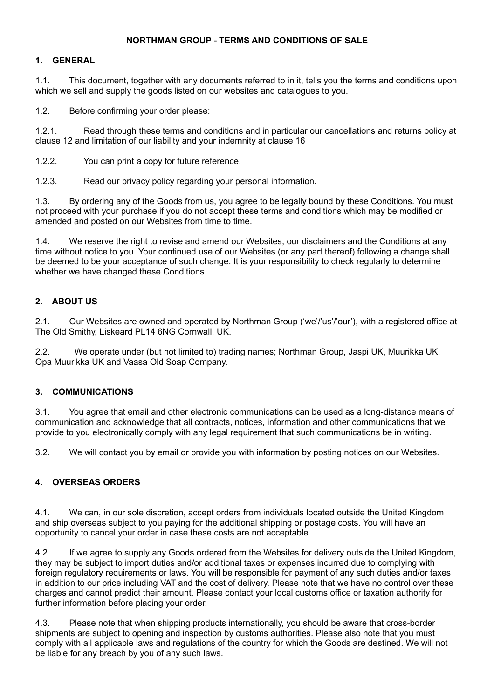## **NORTHMAN GROUP - TERMS AND CONDITIONS OF SALE**

### **1. GENERAL**

1.1. This document, together with any documents referred to in it, tells you the terms and conditions upon which we sell and supply the goods listed on our websites and catalogues to you.

1.2. Before confirming your order please:

1.2.1. Read through these terms and conditions and in particular our cancellations and returns policy at clause 12 and limitation of our liability and your indemnity at clause 16

1.2.2. You can print a copy for future reference.

1.2.3. Read our privacy policy regarding your personal information.

1.3. By ordering any of the Goods from us, you agree to be legally bound by these Conditions. You must not proceed with your purchase if you do not accept these terms and conditions which may be modified or amended and posted on our Websites from time to time.

1.4. We reserve the right to revise and amend our Websites, our disclaimers and the Conditions at any time without notice to you. Your continued use of our Websites (or any part thereof) following a change shall be deemed to be your acceptance of such change. It is your responsibility to check regularly to determine whether we have changed these Conditions.

## **2. ABOUT US**

2.1. Our Websites are owned and operated by Northman Group ('we'/'us'/'our'), with a registered office at The Old Smithy, Liskeard PL14 6NG Cornwall, UK.

2.2. We operate under (but not limited to) trading names; Northman Group, Jaspi UK, Muurikka UK, Opa Muurikka UK and Vaasa Old Soap Company.

## **3. COMMUNICATIONS**

3.1. You agree that email and other electronic communications can be used as a long-distance means of communication and acknowledge that all contracts, notices, information and other communications that we provide to you electronically comply with any legal requirement that such communications be in writing.

3.2. We will contact you by email or provide you with information by posting notices on our Websites.

## **4. OVERSEAS ORDERS**

4.1. We can, in our sole discretion, accept orders from individuals located outside the United Kingdom and ship overseas subject to you paying for the additional shipping or postage costs. You will have an opportunity to cancel your order in case these costs are not acceptable.

4.2. If we agree to supply any Goods ordered from the Websites for delivery outside the United Kingdom, they may be subject to import duties and/or additional taxes or expenses incurred due to complying with foreign regulatory requirements or laws. You will be responsible for payment of any such duties and/or taxes in addition to our price including VAT and the cost of delivery. Please note that we have no control over these charges and cannot predict their amount. Please contact your local customs office or taxation authority for further information before placing your order.

4.3. Please note that when shipping products internationally, you should be aware that cross-border shipments are subject to opening and inspection by customs authorities. Please also note that you must comply with all applicable laws and regulations of the country for which the Goods are destined. We will not be liable for any breach by you of any such laws.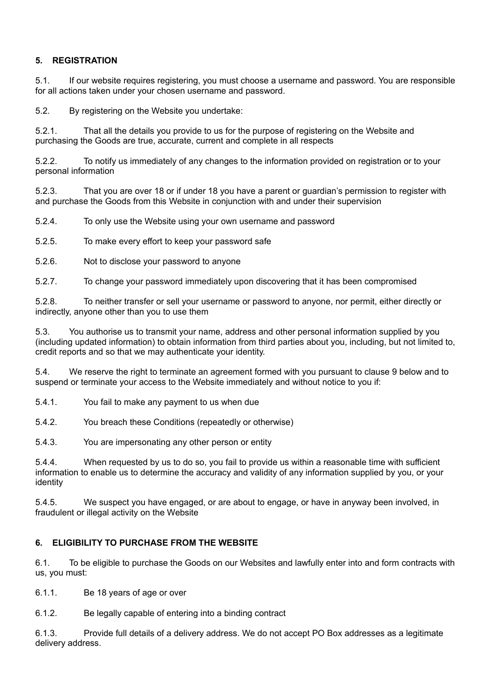# **5. REGISTRATION**

5.1. If our website requires registering, you must choose a username and password. You are responsible for all actions taken under your chosen username and password.

5.2. By registering on the Website you undertake:

5.2.1. That all the details you provide to us for the purpose of registering on the Website and purchasing the Goods are true, accurate, current and complete in all respects

5.2.2. To notify us immediately of any changes to the information provided on registration or to your personal information

5.2.3. That you are over 18 or if under 18 you have a parent or guardian's permission to register with and purchase the Goods from this Website in conjunction with and under their supervision

5.2.4. To only use the Website using your own username and password

5.2.5. To make every effort to keep your password safe

5.2.6. Not to disclose your password to anyone

5.2.7. To change your password immediately upon discovering that it has been compromised

5.2.8. To neither transfer or sell your username or password to anyone, nor permit, either directly or indirectly, anyone other than you to use them

5.3. You authorise us to transmit your name, address and other personal information supplied by you (including updated information) to obtain information from third parties about you, including, but not limited to, credit reports and so that we may authenticate your identity.

5.4. We reserve the right to terminate an agreement formed with you pursuant to clause 9 below and to suspend or terminate your access to the Website immediately and without notice to you if:

5.4.1. You fail to make any payment to us when due

5.4.2. You breach these Conditions (repeatedly or otherwise)

5.4.3. You are impersonating any other person or entity

5.4.4. When requested by us to do so, you fail to provide us within a reasonable time with sufficient information to enable us to determine the accuracy and validity of any information supplied by you, or your identity

5.4.5. We suspect you have engaged, or are about to engage, or have in anyway been involved, in fraudulent or illegal activity on the Website

# **6. ELIGIBILITY TO PURCHASE FROM THE WEBSITE**

6.1. To be eligible to purchase the Goods on our Websites and lawfully enter into and form contracts with us, you must:

6.1.1. Be 18 years of age or over

6.1.2. Be legally capable of entering into a binding contract

6.1.3. Provide full details of a delivery address. We do not accept PO Box addresses as a legitimate delivery address.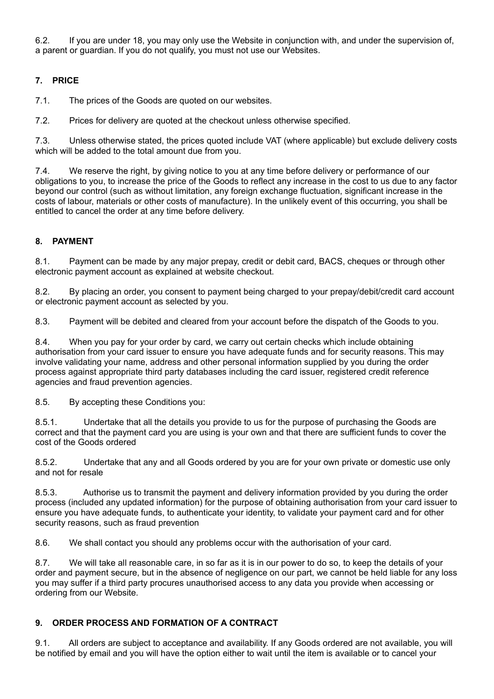6.2. If you are under 18, you may only use the Website in conjunction with, and under the supervision of, a parent or guardian. If you do not qualify, you must not use our Websites.

# **7. PRICE**

7.1. The prices of the Goods are quoted on our websites.

7.2. Prices for delivery are quoted at the checkout unless otherwise specified.

7.3. Unless otherwise stated, the prices quoted include VAT (where applicable) but exclude delivery costs which will be added to the total amount due from you.

7.4. We reserve the right, by giving notice to you at any time before delivery or performance of our obligations to you, to increase the price of the Goods to reflect any increase in the cost to us due to any factor beyond our control (such as without limitation, any foreign exchange fluctuation, significant increase in the costs of labour, materials or other costs of manufacture). In the unlikely event of this occurring, you shall be entitled to cancel the order at any time before delivery.

# **8. PAYMENT**

8.1. Payment can be made by any major prepay, credit or debit card, BACS, cheques or through other electronic payment account as explained at website checkout.

8.2. By placing an order, you consent to payment being charged to your prepay/debit/credit card account or electronic payment account as selected by you.

8.3. Payment will be debited and cleared from your account before the dispatch of the Goods to you.

8.4. When you pay for your order by card, we carry out certain checks which include obtaining authorisation from your card issuer to ensure you have adequate funds and for security reasons. This may involve validating your name, address and other personal information supplied by you during the order process against appropriate third party databases including the card issuer, registered credit reference agencies and fraud prevention agencies.

8.5. By accepting these Conditions you:

8.5.1. Undertake that all the details you provide to us for the purpose of purchasing the Goods are correct and that the payment card you are using is your own and that there are sufficient funds to cover the cost of the Goods ordered

8.5.2. Undertake that any and all Goods ordered by you are for your own private or domestic use only and not for resale

8.5.3. Authorise us to transmit the payment and delivery information provided by you during the order process (included any updated information) for the purpose of obtaining authorisation from your card issuer to ensure you have adequate funds, to authenticate your identity, to validate your payment card and for other security reasons, such as fraud prevention

8.6. We shall contact you should any problems occur with the authorisation of your card.

8.7. We will take all reasonable care, in so far as it is in our power to do so, to keep the details of your order and payment secure, but in the absence of negligence on our part, we cannot be held liable for any loss you may suffer if a third party procures unauthorised access to any data you provide when accessing or ordering from our Website.

## **9. ORDER PROCESS AND FORMATION OF A CONTRACT**

9.1. All orders are subject to acceptance and availability. If any Goods ordered are not available, you will be notified by email and you will have the option either to wait until the item is available or to cancel your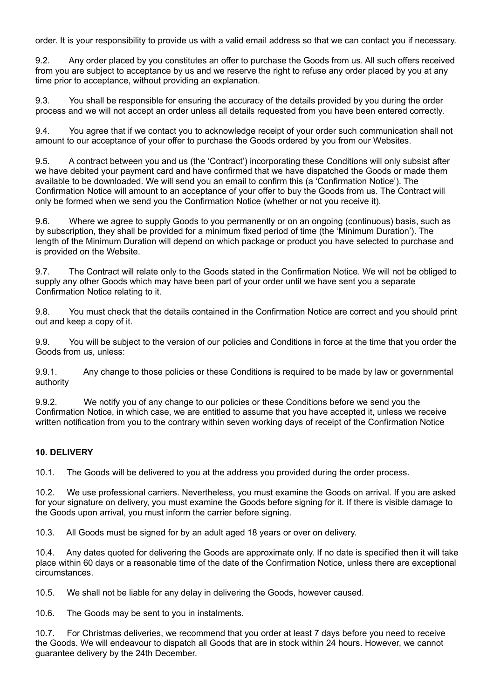order. It is your responsibility to provide us with a valid email address so that we can contact you if necessary.

9.2. Any order placed by you constitutes an offer to purchase the Goods from us. All such offers received from you are subject to acceptance by us and we reserve the right to refuse any order placed by you at any time prior to acceptance, without providing an explanation.

9.3. You shall be responsible for ensuring the accuracy of the details provided by you during the order process and we will not accept an order unless all details requested from you have been entered correctly.

9.4. You agree that if we contact you to acknowledge receipt of your order such communication shall not amount to our acceptance of your offer to purchase the Goods ordered by you from our Websites.

9.5. A contract between you and us (the 'Contract') incorporating these Conditions will only subsist after we have debited your payment card and have confirmed that we have dispatched the Goods or made them available to be downloaded. We will send you an email to confirm this (a 'Confirmation Notice'). The Confirmation Notice will amount to an acceptance of your offer to buy the Goods from us. The Contract will only be formed when we send you the Confirmation Notice (whether or not you receive it).

9.6. Where we agree to supply Goods to you permanently or on an ongoing (continuous) basis, such as by subscription, they shall be provided for a minimum fixed period of time (the 'Minimum Duration'). The length of the Minimum Duration will depend on which package or product you have selected to purchase and is provided on the Website.

9.7. The Contract will relate only to the Goods stated in the Confirmation Notice. We will not be obliged to supply any other Goods which may have been part of your order until we have sent you a separate Confirmation Notice relating to it.

9.8. You must check that the details contained in the Confirmation Notice are correct and you should print out and keep a copy of it.

9.9. You will be subject to the version of our policies and Conditions in force at the time that you order the Goods from us, unless:

9.9.1. Any change to those policies or these Conditions is required to be made by law or governmental authority

9.9.2. We notify you of any change to our policies or these Conditions before we send you the Confirmation Notice, in which case, we are entitled to assume that you have accepted it, unless we receive written notification from you to the contrary within seven working days of receipt of the Confirmation Notice

## **10. DELIVERY**

10.1. The Goods will be delivered to you at the address you provided during the order process.

10.2. We use professional carriers. Nevertheless, you must examine the Goods on arrival. If you are asked for your signature on delivery, you must examine the Goods before signing for it. If there is visible damage to the Goods upon arrival, you must inform the carrier before signing.

10.3. All Goods must be signed for by an adult aged 18 years or over on delivery.

10.4. Any dates quoted for delivering the Goods are approximate only. If no date is specified then it will take place within 60 days or a reasonable time of the date of the Confirmation Notice, unless there are exceptional circumstances.

10.5. We shall not be liable for any delay in delivering the Goods, however caused.

10.6. The Goods may be sent to you in instalments.

10.7. For Christmas deliveries, we recommend that you order at least 7 days before you need to receive the Goods. We will endeavour to dispatch all Goods that are in stock within 24 hours. However, we cannot guarantee delivery by the 24th December.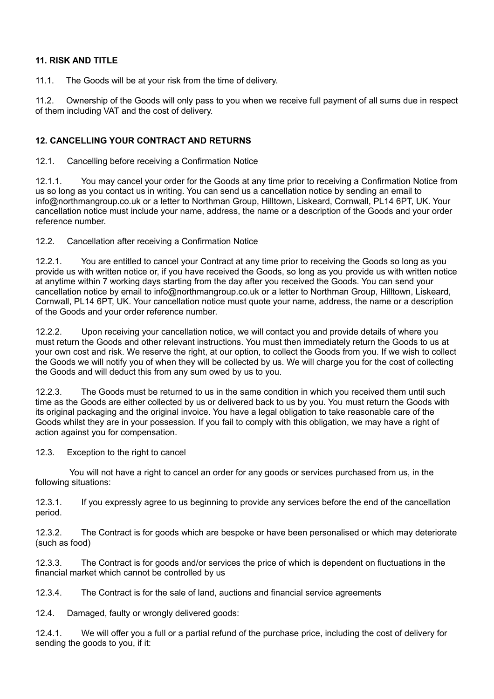## **11. RISK AND TITLE**

11.1. The Goods will be at your risk from the time of delivery.

11.2. Ownership of the Goods will only pass to you when we receive full payment of all sums due in respect of them including VAT and the cost of delivery.

## **12. CANCELLING YOUR CONTRACT AND RETURNS**

12.1. Cancelling before receiving a Confirmation Notice

12.1.1. You may cancel your order for the Goods at any time prior to receiving a Confirmation Notice from us so long as you contact us in writing. You can send us a cancellation notice by sending an email to info@northmangroup.co.uk or a letter to Northman Group, Hilltown, Liskeard, Cornwall, PL14 6PT, UK. Your cancellation notice must include your name, address, the name or a description of the Goods and your order reference number.

12.2. Cancellation after receiving a Confirmation Notice

12.2.1. You are entitled to cancel your Contract at any time prior to receiving the Goods so long as you provide us with written notice or, if you have received the Goods, so long as you provide us with written notice at anytime within 7 working days starting from the day after you received the Goods. You can send your cancellation notice by email to info@northmangroup.co.uk or a letter to Northman Group, Hilltown, Liskeard, Cornwall, PL14 6PT, UK. Your cancellation notice must quote your name, address, the name or a description of the Goods and your order reference number.

12.2.2. Upon receiving your cancellation notice, we will contact you and provide details of where you must return the Goods and other relevant instructions. You must then immediately return the Goods to us at your own cost and risk. We reserve the right, at our option, to collect the Goods from you. If we wish to collect the Goods we will notify you of when they will be collected by us. We will charge you for the cost of collecting the Goods and will deduct this from any sum owed by us to you.

12.2.3. The Goods must be returned to us in the same condition in which you received them until such time as the Goods are either collected by us or delivered back to us by you. You must return the Goods with its original packaging and the original invoice. You have a legal obligation to take reasonable care of the Goods whilst they are in your possession. If you fail to comply with this obligation, we may have a right of action against you for compensation.

12.3. Exception to the right to cancel

 You will not have a right to cancel an order for any goods or services purchased from us, in the following situations:

12.3.1. If you expressly agree to us beginning to provide any services before the end of the cancellation period.

12.3.2. The Contract is for goods which are bespoke or have been personalised or which may deteriorate (such as food)

12.3.3. The Contract is for goods and/or services the price of which is dependent on fluctuations in the financial market which cannot be controlled by us

12.3.4. The Contract is for the sale of land, auctions and financial service agreements

12.4. Damaged, faulty or wrongly delivered goods:

12.4.1. We will offer you a full or a partial refund of the purchase price, including the cost of delivery for sending the goods to you, if it: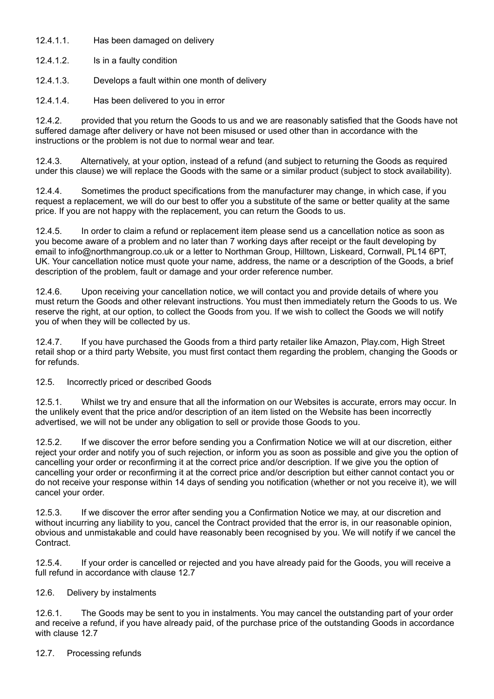12.4.1.1. Has been damaged on delivery

12.4.1.2. Is in a faulty condition

- 12.4.1.3. Develops a fault within one month of delivery
- 12.4.1.4. Has been delivered to you in error

12.4.2. provided that you return the Goods to us and we are reasonably satisfied that the Goods have not suffered damage after delivery or have not been misused or used other than in accordance with the instructions or the problem is not due to normal wear and tear.

12.4.3. Alternatively, at your option, instead of a refund (and subject to returning the Goods as required under this clause) we will replace the Goods with the same or a similar product (subject to stock availability).

12.4.4. Sometimes the product specifications from the manufacturer may change, in which case, if you request a replacement, we will do our best to offer you a substitute of the same or better quality at the same price. If you are not happy with the replacement, you can return the Goods to us.

12.4.5. In order to claim a refund or replacement item please send us a cancellation notice as soon as you become aware of a problem and no later than 7 working days after receipt or the fault developing by email to info@northmangroup.co.uk or a letter to Northman Group, Hilltown, Liskeard, Cornwall, PL14 6PT, UK. Your cancellation notice must quote your name, address, the name or a description of the Goods, a brief description of the problem, fault or damage and your order reference number.

12.4.6. Upon receiving your cancellation notice, we will contact you and provide details of where you must return the Goods and other relevant instructions. You must then immediately return the Goods to us. We reserve the right, at our option, to collect the Goods from you. If we wish to collect the Goods we will notify you of when they will be collected by us.

12.4.7. If you have purchased the Goods from a third party retailer like Amazon, Play.com, High Street retail shop or a third party Website, you must first contact them regarding the problem, changing the Goods or for refunds.

12.5. Incorrectly priced or described Goods

12.5.1. Whilst we try and ensure that all the information on our Websites is accurate, errors may occur. In the unlikely event that the price and/or description of an item listed on the Website has been incorrectly advertised, we will not be under any obligation to sell or provide those Goods to you.

12.5.2. If we discover the error before sending you a Confirmation Notice we will at our discretion, either reject your order and notify you of such rejection, or inform you as soon as possible and give you the option of cancelling your order or reconfirming it at the correct price and/or description. If we give you the option of cancelling your order or reconfirming it at the correct price and/or description but either cannot contact you or do not receive your response within 14 days of sending you notification (whether or not you receive it), we will cancel your order.

12.5.3. If we discover the error after sending you a Confirmation Notice we may, at our discretion and without incurring any liability to you, cancel the Contract provided that the error is, in our reasonable opinion, obvious and unmistakable and could have reasonably been recognised by you. We will notify if we cancel the Contract.

12.5.4. If your order is cancelled or rejected and you have already paid for the Goods, you will receive a full refund in accordance with clause 12.7

## 12.6. Delivery by instalments

12.6.1. The Goods may be sent to you in instalments. You may cancel the outstanding part of your order and receive a refund, if you have already paid, of the purchase price of the outstanding Goods in accordance with clause 12.7

## 12.7. Processing refunds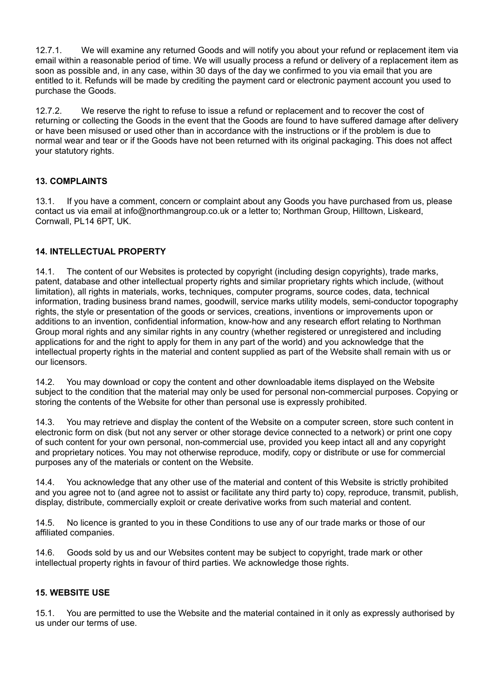12.7.1. We will examine any returned Goods and will notify you about your refund or replacement item via email within a reasonable period of time. We will usually process a refund or delivery of a replacement item as soon as possible and, in any case, within 30 days of the day we confirmed to you via email that you are entitled to it. Refunds will be made by crediting the payment card or electronic payment account you used to purchase the Goods.

12.7.2. We reserve the right to refuse to issue a refund or replacement and to recover the cost of returning or collecting the Goods in the event that the Goods are found to have suffered damage after delivery or have been misused or used other than in accordance with the instructions or if the problem is due to normal wear and tear or if the Goods have not been returned with its original packaging. This does not affect your statutory rights.

## **13. COMPLAINTS**

13.1. If you have a comment, concern or complaint about any Goods you have purchased from us, please contact us via email at info@northmangroup.co.uk or a letter to; Northman Group, Hilltown, Liskeard, Cornwall, PL14 6PT, UK.

# **14. INTELLECTUAL PROPERTY**

14.1. The content of our Websites is protected by copyright (including design copyrights), trade marks, patent, database and other intellectual property rights and similar proprietary rights which include, (without limitation), all rights in materials, works, techniques, computer programs, source codes, data, technical information, trading business brand names, goodwill, service marks utility models, semi-conductor topography rights, the style or presentation of the goods or services, creations, inventions or improvements upon or additions to an invention, confidential information, know-how and any research effort relating to Northman Group moral rights and any similar rights in any country (whether registered or unregistered and including applications for and the right to apply for them in any part of the world) and you acknowledge that the intellectual property rights in the material and content supplied as part of the Website shall remain with us or our licensors.

14.2. You may download or copy the content and other downloadable items displayed on the Website subject to the condition that the material may only be used for personal non-commercial purposes. Copying or storing the contents of the Website for other than personal use is expressly prohibited.

14.3. You may retrieve and display the content of the Website on a computer screen, store such content in electronic form on disk (but not any server or other storage device connected to a network) or print one copy of such content for your own personal, non-commercial use, provided you keep intact all and any copyright and proprietary notices. You may not otherwise reproduce, modify, copy or distribute or use for commercial purposes any of the materials or content on the Website.

14.4. You acknowledge that any other use of the material and content of this Website is strictly prohibited and you agree not to (and agree not to assist or facilitate any third party to) copy, reproduce, transmit, publish, display, distribute, commercially exploit or create derivative works from such material and content.

14.5. No licence is granted to you in these Conditions to use any of our trade marks or those of our affiliated companies.

14.6. Goods sold by us and our Websites content may be subject to copyright, trade mark or other intellectual property rights in favour of third parties. We acknowledge those rights.

## **15. WEBSITE USE**

15.1. You are permitted to use the Website and the material contained in it only as expressly authorised by us under our terms of use.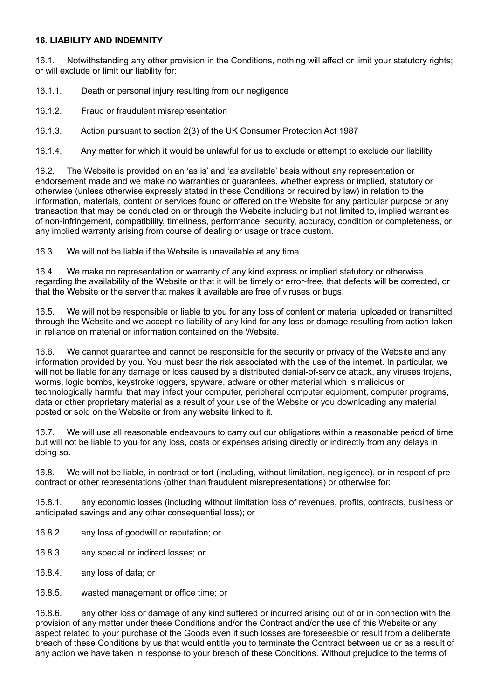### **16. LIABILITY AND INDEMNITY**

16.1. Notwithstanding any other provision in the Conditions, nothing will affect or limit your statutory rights; or will exclude or limit our liability for:

16.1.1. Death or personal injury resulting from our negligence

16.1.2. Fraud or fraudulent misrepresentation

16.1.3. Action pursuant to section 2(3) of the UK Consumer Protection Act 1987

16.1.4. Any matter for which it would be unlawful for us to exclude or attempt to exclude our liability

16.2. The Website is provided on an 'as is' and 'as available' basis without any representation or endorsement made and we make no warranties or guarantees, whether express or implied, statutory or otherwise (unless otherwise expressly stated in these Conditions or required by law) in relation to the information, materials, content or services found or offered on the Website for any particular purpose or any transaction that may be conducted on or through the Website including but not limited to, implied warranties of non-infringement, compatibility, timeliness, performance, security, accuracy, condition or completeness, or any implied warranty arising from course of dealing or usage or trade custom.

16.3. We will not be liable if the Website is unavailable at any time.

16.4. We make no representation or warranty of any kind express or implied statutory or otherwise regarding the availability of the Website or that it will be timely or error-free, that defects will be corrected, or that the Website or the server that makes it available are free of viruses or bugs.

16.5. We will not be responsible or liable to you for any loss of content or material uploaded or transmitted through the Website and we accept no liability of any kind for any loss or damage resulting from action taken in reliance on material or information contained on the Website.

16.6. We cannot guarantee and cannot be responsible for the security or privacy of the Website and any information provided by you. You must bear the risk associated with the use of the internet. In particular, we will not be liable for any damage or loss caused by a distributed denial-of-service attack, any viruses trojans, worms, logic bombs, keystroke loggers, spyware, adware or other material which is malicious or technologically harmful that may infect your computer, peripheral computer equipment, computer programs, data or other proprietary material as a result of your use of the Website or you downloading any material posted or sold on the Website or from any website linked to it.

16.7. We will use all reasonable endeavours to carry out our obligations within a reasonable period of time but will not be liable to you for any loss, costs or expenses arising directly or indirectly from any delays in doing so.

16.8. We will not be liable, in contract or tort (including, without limitation, negligence), or in respect of precontract or other representations (other than fraudulent misrepresentations) or otherwise for:

16.8.1. any economic losses (including without limitation loss of revenues, profits, contracts, business or anticipated savings and any other consequential loss); or

16.8.2. any loss of goodwill or reputation; or

- 16.8.3. any special or indirect losses; or
- 16.8.4. any loss of data; or
- 16.8.5. wasted management or office time; or

16.8.6. any other loss or damage of any kind suffered or incurred arising out of or in connection with the provision of any matter under these Conditions and/or the Contract and/or the use of this Website or any aspect related to your purchase of the Goods even if such losses are foreseeable or result from a deliberate breach of these Conditions by us that would entitle you to terminate the Contract between us or as a result of any action we have taken in response to your breach of these Conditions. Without prejudice to the terms of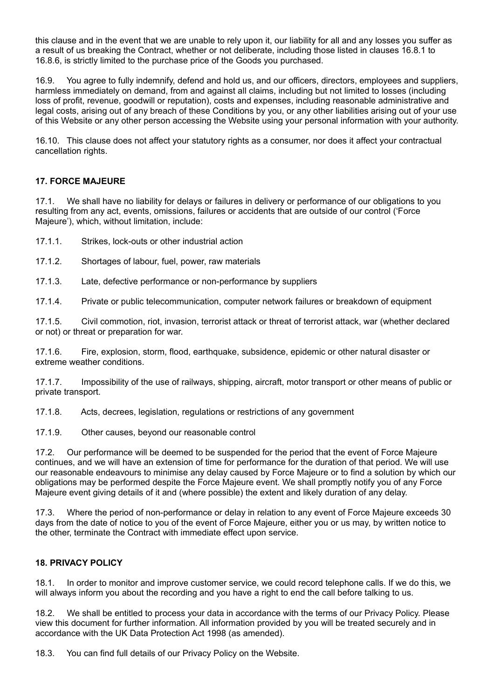this clause and in the event that we are unable to rely upon it, our liability for all and any losses you suffer as a result of us breaking the Contract, whether or not deliberate, including those listed in clauses 16.8.1 to 16.8.6, is strictly limited to the purchase price of the Goods you purchased.

16.9. You agree to fully indemnify, defend and hold us, and our officers, directors, employees and suppliers, harmless immediately on demand, from and against all claims, including but not limited to losses (including loss of profit, revenue, goodwill or reputation), costs and expenses, including reasonable administrative and legal costs, arising out of any breach of these Conditions by you, or any other liabilities arising out of your use of this Website or any other person accessing the Website using your personal information with your authority.

16.10. This clause does not affect your statutory rights as a consumer, nor does it affect your contractual cancellation rights.

## **17. FORCE MAJEURE**

17.1. We shall have no liability for delays or failures in delivery or performance of our obligations to you resulting from any act, events, omissions, failures or accidents that are outside of our control ('Force Majeure'), which, without limitation, include:

17.1.1. Strikes, lock-outs or other industrial action

- 17.1.2. Shortages of labour, fuel, power, raw materials
- 17.1.3. Late, defective performance or non-performance by suppliers

17.1.4. Private or public telecommunication, computer network failures or breakdown of equipment

17.1.5. Civil commotion, riot, invasion, terrorist attack or threat of terrorist attack, war (whether declared or not) or threat or preparation for war.

17.1.6. Fire, explosion, storm, flood, earthquake, subsidence, epidemic or other natural disaster or extreme weather conditions.

17.1.7. Impossibility of the use of railways, shipping, aircraft, motor transport or other means of public or private transport.

17.1.8. Acts, decrees, legislation, regulations or restrictions of any government

17.1.9. Other causes, beyond our reasonable control

17.2. Our performance will be deemed to be suspended for the period that the event of Force Majeure continues, and we will have an extension of time for performance for the duration of that period. We will use our reasonable endeavours to minimise any delay caused by Force Majeure or to find a solution by which our obligations may be performed despite the Force Majeure event. We shall promptly notify you of any Force Majeure event giving details of it and (where possible) the extent and likely duration of any delay.

17.3. Where the period of non-performance or delay in relation to any event of Force Majeure exceeds 30 days from the date of notice to you of the event of Force Majeure, either you or us may, by written notice to the other, terminate the Contract with immediate effect upon service.

#### **18. PRIVACY POLICY**

18.1. In order to monitor and improve customer service, we could record telephone calls. If we do this, we will always inform you about the recording and you have a right to end the call before talking to us.

18.2. We shall be entitled to process your data in accordance with the terms of our Privacy Policy. Please view this document for further information. All information provided by you will be treated securely and in accordance with the UK Data Protection Act 1998 (as amended).

18.3. You can find full details of our Privacy Policy on the Website.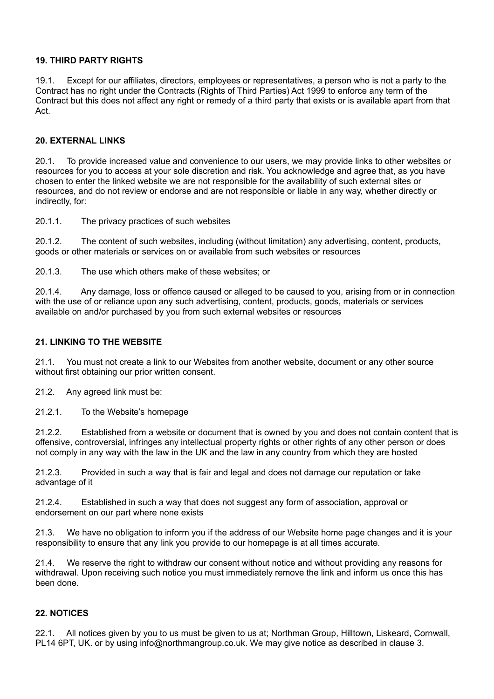### **19. THIRD PARTY RIGHTS**

19.1. Except for our affiliates, directors, employees or representatives, a person who is not a party to the Contract has no right under the Contracts (Rights of Third Parties) Act 1999 to enforce any term of the Contract but this does not affect any right or remedy of a third party that exists or is available apart from that Act.

### **20. EXTERNAL LINKS**

20.1. To provide increased value and convenience to our users, we may provide links to other websites or resources for you to access at your sole discretion and risk. You acknowledge and agree that, as you have chosen to enter the linked website we are not responsible for the availability of such external sites or resources, and do not review or endorse and are not responsible or liable in any way, whether directly or indirectly, for:

20.1.1. The privacy practices of such websites

20.1.2. The content of such websites, including (without limitation) any advertising, content, products, goods or other materials or services on or available from such websites or resources

20.1.3. The use which others make of these websites; or

20.1.4. Any damage, loss or offence caused or alleged to be caused to you, arising from or in connection with the use of or reliance upon any such advertising, content, products, goods, materials or services available on and/or purchased by you from such external websites or resources

### **21. LINKING TO THE WEBSITE**

21.1. You must not create a link to our Websites from another website, document or any other source without first obtaining our prior written consent.

21.2. Any agreed link must be:

21.2.1. To the Website's homepage

21.2.2. Established from a website or document that is owned by you and does not contain content that is offensive, controversial, infringes any intellectual property rights or other rights of any other person or does not comply in any way with the law in the UK and the law in any country from which they are hosted

21.2.3. Provided in such a way that is fair and legal and does not damage our reputation or take advantage of it

21.2.4. Established in such a way that does not suggest any form of association, approval or endorsement on our part where none exists

21.3. We have no obligation to inform you if the address of our Website home page changes and it is your responsibility to ensure that any link you provide to our homepage is at all times accurate.

21.4. We reserve the right to withdraw our consent without notice and without providing any reasons for withdrawal. Upon receiving such notice you must immediately remove the link and inform us once this has been done.

#### **22. NOTICES**

All notices given by you to us must be given to us at; Northman Group, Hilltown, Liskeard, Cornwall, PL14 6PT, UK. or by using info@northmangroup.co.uk. We may give notice as described in clause 3.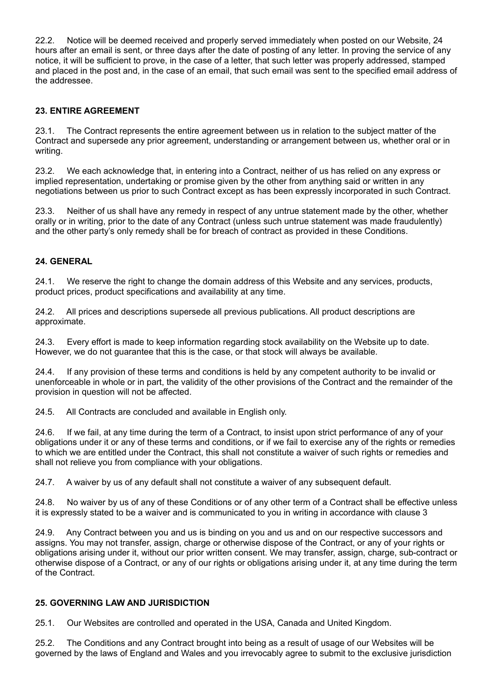22.2. Notice will be deemed received and properly served immediately when posted on our Website, 24 hours after an email is sent, or three days after the date of posting of any letter. In proving the service of any notice, it will be sufficient to prove, in the case of a letter, that such letter was properly addressed, stamped and placed in the post and, in the case of an email, that such email was sent to the specified email address of the addressee.

## **23. ENTIRE AGREEMENT**

23.1. The Contract represents the entire agreement between us in relation to the subject matter of the Contract and supersede any prior agreement, understanding or arrangement between us, whether oral or in writing.

23.2. We each acknowledge that, in entering into a Contract, neither of us has relied on any express or implied representation, undertaking or promise given by the other from anything said or written in any negotiations between us prior to such Contract except as has been expressly incorporated in such Contract.

23.3. Neither of us shall have any remedy in respect of any untrue statement made by the other, whether orally or in writing, prior to the date of any Contract (unless such untrue statement was made fraudulently) and the other party's only remedy shall be for breach of contract as provided in these Conditions.

## **24. GENERAL**

24.1. We reserve the right to change the domain address of this Website and any services, products, product prices, product specifications and availability at any time.

24.2. All prices and descriptions supersede all previous publications. All product descriptions are approximate.

24.3. Every effort is made to keep information regarding stock availability on the Website up to date. However, we do not guarantee that this is the case, or that stock will always be available.

24.4. If any provision of these terms and conditions is held by any competent authority to be invalid or unenforceable in whole or in part, the validity of the other provisions of the Contract and the remainder of the provision in question will not be affected.

24.5. All Contracts are concluded and available in English only.

24.6. If we fail, at any time during the term of a Contract, to insist upon strict performance of any of your obligations under it or any of these terms and conditions, or if we fail to exercise any of the rights or remedies to which we are entitled under the Contract, this shall not constitute a waiver of such rights or remedies and shall not relieve you from compliance with your obligations.

24.7. A waiver by us of any default shall not constitute a waiver of any subsequent default.

24.8. No waiver by us of any of these Conditions or of any other term of a Contract shall be effective unless it is expressly stated to be a waiver and is communicated to you in writing in accordance with clause 3

24.9. Any Contract between you and us is binding on you and us and on our respective successors and assigns. You may not transfer, assign, charge or otherwise dispose of the Contract, or any of your rights or obligations arising under it, without our prior written consent. We may transfer, assign, charge, sub-contract or otherwise dispose of a Contract, or any of our rights or obligations arising under it, at any time during the term of the Contract.

## **25. GOVERNING LAW AND JURISDICTION**

25.1. Our Websites are controlled and operated in the USA, Canada and United Kingdom.

25.2. The Conditions and any Contract brought into being as a result of usage of our Websites will be governed by the laws of England and Wales and you irrevocably agree to submit to the exclusive jurisdiction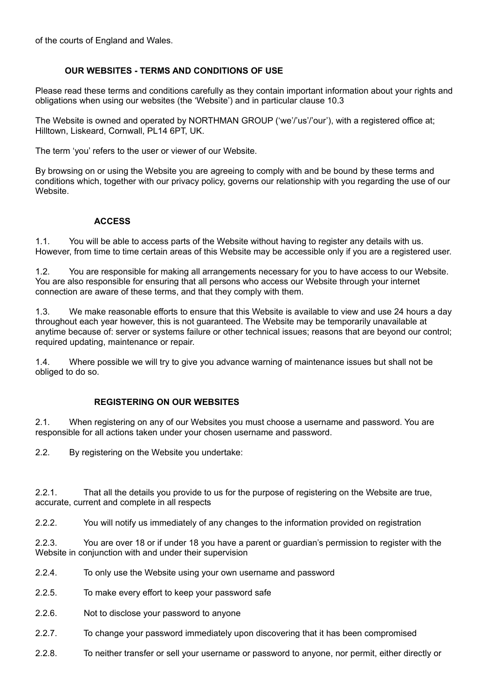of the courts of England and Wales.

## **OUR WEBSITES - TERMS AND CONDITIONS OF USE**

Please read these terms and conditions carefully as they contain important information about your rights and obligations when using our websites (the 'Website') and in particular clause 10.3

The Website is owned and operated by NORTHMAN GROUP ('we'/'us'/'our'), with a registered office at; Hilltown, Liskeard, Cornwall, PL14 6PT, UK.

The term 'you' refers to the user or viewer of our Website.

By browsing on or using the Website you are agreeing to comply with and be bound by these terms and conditions which, together with our privacy policy, governs our relationship with you regarding the use of our Website.

## **ACCESS**

1.1. You will be able to access parts of the Website without having to register any details with us. However, from time to time certain areas of this Website may be accessible only if you are a registered user.

1.2. You are responsible for making all arrangements necessary for you to have access to our Website. You are also responsible for ensuring that all persons who access our Website through your internet connection are aware of these terms, and that they comply with them.

1.3. We make reasonable efforts to ensure that this Website is available to view and use 24 hours a day throughout each year however, this is not guaranteed. The Website may be temporarily unavailable at anytime because of: server or systems failure or other technical issues; reasons that are beyond our control; required updating, maintenance or repair.

1.4. Where possible we will try to give you advance warning of maintenance issues but shall not be obliged to do so.

## **REGISTERING ON OUR WEBSITES**

2.1. When registering on any of our Websites you must choose a username and password. You are responsible for all actions taken under your chosen username and password.

2.2. By registering on the Website you undertake:

2.2.1. That all the details you provide to us for the purpose of registering on the Website are true, accurate, current and complete in all respects

2.2.2. You will notify us immediately of any changes to the information provided on registration

2.2.3. You are over 18 or if under 18 you have a parent or guardian's permission to register with the Website in conjunction with and under their supervision

- 2.2.4. To only use the Website using your own username and password
- 2.2.5. To make every effort to keep your password safe
- 2.2.6. Not to disclose your password to anyone
- 2.2.7. To change your password immediately upon discovering that it has been compromised
- 2.2.8. To neither transfer or sell your username or password to anyone, nor permit, either directly or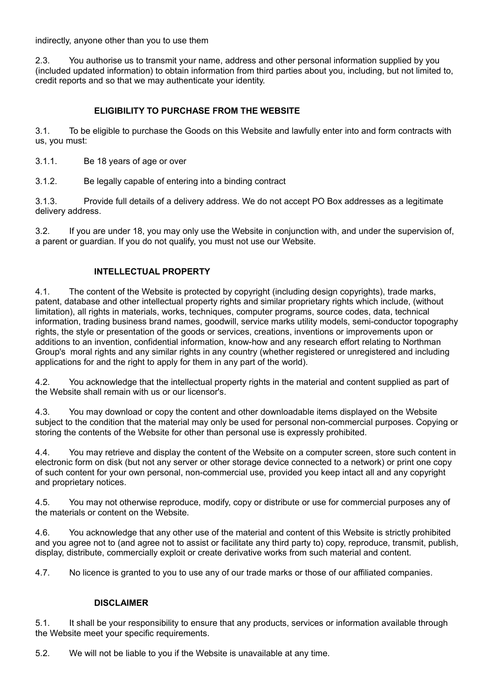indirectly, anyone other than you to use them

2.3. You authorise us to transmit your name, address and other personal information supplied by you (included updated information) to obtain information from third parties about you, including, but not limited to, credit reports and so that we may authenticate your identity.

## **ELIGIBILITY TO PURCHASE FROM THE WEBSITE**

3.1. To be eligible to purchase the Goods on this Website and lawfully enter into and form contracts with us, you must:

- 3.1.1. Be 18 years of age or over
- 3.1.2. Be legally capable of entering into a binding contract

3.1.3. Provide full details of a delivery address. We do not accept PO Box addresses as a legitimate delivery address.

3.2. If you are under 18, you may only use the Website in conjunction with, and under the supervision of, a parent or guardian. If you do not qualify, you must not use our Website.

### **INTELLECTUAL PROPERTY**

4.1. The content of the Website is protected by copyright (including design copyrights), trade marks, patent, database and other intellectual property rights and similar proprietary rights which include, (without limitation), all rights in materials, works, techniques, computer programs, source codes, data, technical information, trading business brand names, goodwill, service marks utility models, semi-conductor topography rights, the style or presentation of the goods or services, creations, inventions or improvements upon or additions to an invention, confidential information, know-how and any research effort relating to Northman Group's moral rights and any similar rights in any country (whether registered or unregistered and including applications for and the right to apply for them in any part of the world).

4.2. You acknowledge that the intellectual property rights in the material and content supplied as part of the Website shall remain with us or our licensor's.

4.3. You may download or copy the content and other downloadable items displayed on the Website subject to the condition that the material may only be used for personal non-commercial purposes. Copying or storing the contents of the Website for other than personal use is expressly prohibited.

4.4. You may retrieve and display the content of the Website on a computer screen, store such content in electronic form on disk (but not any server or other storage device connected to a network) or print one copy of such content for your own personal, non-commercial use, provided you keep intact all and any copyright and proprietary notices.

4.5. You may not otherwise reproduce, modify, copy or distribute or use for commercial purposes any of the materials or content on the Website.

4.6. You acknowledge that any other use of the material and content of this Website is strictly prohibited and you agree not to (and agree not to assist or facilitate any third party to) copy, reproduce, transmit, publish, display, distribute, commercially exploit or create derivative works from such material and content.

4.7. No licence is granted to you to use any of our trade marks or those of our affiliated companies.

#### **DISCLAIMER**

5.1. It shall be your responsibility to ensure that any products, services or information available through the Website meet your specific requirements.

5.2. We will not be liable to you if the Website is unavailable at any time.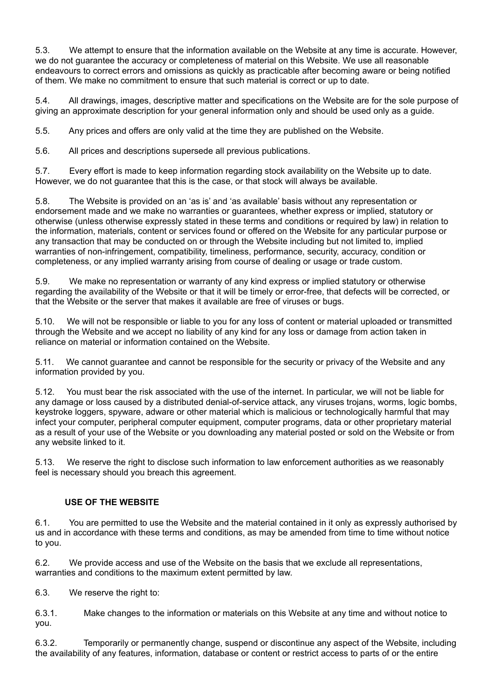5.3. We attempt to ensure that the information available on the Website at any time is accurate. However, we do not guarantee the accuracy or completeness of material on this Website. We use all reasonable endeavours to correct errors and omissions as quickly as practicable after becoming aware or being notified of them. We make no commitment to ensure that such material is correct or up to date.

5.4. All drawings, images, descriptive matter and specifications on the Website are for the sole purpose of giving an approximate description for your general information only and should be used only as a guide.

5.5. Any prices and offers are only valid at the time they are published on the Website.

5.6. All prices and descriptions supersede all previous publications.

5.7. Every effort is made to keep information regarding stock availability on the Website up to date. However, we do not guarantee that this is the case, or that stock will always be available.

5.8. The Website is provided on an 'as is' and 'as available' basis without any representation or endorsement made and we make no warranties or guarantees, whether express or implied, statutory or otherwise (unless otherwise expressly stated in these terms and conditions or required by law) in relation to the information, materials, content or services found or offered on the Website for any particular purpose or any transaction that may be conducted on or through the Website including but not limited to, implied warranties of non-infringement, compatibility, timeliness, performance, security, accuracy, condition or completeness, or any implied warranty arising from course of dealing or usage or trade custom.

5.9. We make no representation or warranty of any kind express or implied statutory or otherwise regarding the availability of the Website or that it will be timely or error-free, that defects will be corrected, or that the Website or the server that makes it available are free of viruses or bugs.

5.10. We will not be responsible or liable to you for any loss of content or material uploaded or transmitted through the Website and we accept no liability of any kind for any loss or damage from action taken in reliance on material or information contained on the Website.

5.11. We cannot guarantee and cannot be responsible for the security or privacy of the Website and any information provided by you.

5.12. You must bear the risk associated with the use of the internet. In particular, we will not be liable for any damage or loss caused by a distributed denial-of-service attack, any viruses trojans, worms, logic bombs, keystroke loggers, spyware, adware or other material which is malicious or technologically harmful that may infect your computer, peripheral computer equipment, computer programs, data or other proprietary material as a result of your use of the Website or you downloading any material posted or sold on the Website or from any website linked to it.

5.13. We reserve the right to disclose such information to law enforcement authorities as we reasonably feel is necessary should you breach this agreement.

## **USE OF THE WEBSITE**

6.1. You are permitted to use the Website and the material contained in it only as expressly authorised by us and in accordance with these terms and conditions, as may be amended from time to time without notice to you.

6.2. We provide access and use of the Website on the basis that we exclude all representations, warranties and conditions to the maximum extent permitted by law.

6.3. We reserve the right to:

6.3.1. Make changes to the information or materials on this Website at any time and without notice to you.

6.3.2. Temporarily or permanently change, suspend or discontinue any aspect of the Website, including the availability of any features, information, database or content or restrict access to parts of or the entire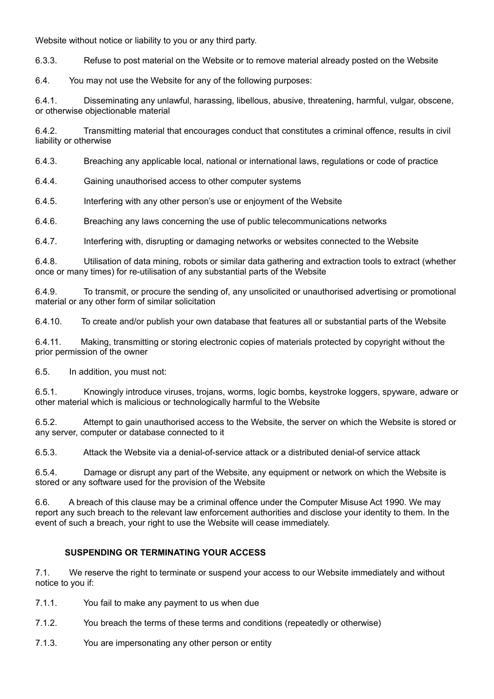Website without notice or liability to you or any third party.

6.3.3. Refuse to post material on the Website or to remove material already posted on the Website

6.4. You may not use the Website for any of the following purposes:

6.4.1. Disseminating any unlawful, harassing, libellous, abusive, threatening, harmful, vulgar, obscene, or otherwise objectionable material

6.4.2. Transmitting material that encourages conduct that constitutes a criminal offence, results in civil liability or otherwise

6.4.3. Breaching any applicable local, national or international laws, regulations or code of practice

6.4.4. Gaining unauthorised access to other computer systems

6.4.5. Interfering with any other person's use or enjoyment of the Website

6.4.6. Breaching any laws concerning the use of public telecommunications networks

6.4.7. Interfering with, disrupting or damaging networks or websites connected to the Website

6.4.8. Utilisation of data mining, robots or similar data gathering and extraction tools to extract (whether once or many times) for re-utilisation of any substantial parts of the Website

6.4.9. To transmit, or procure the sending of, any unsolicited or unauthorised advertising or promotional material or any other form of similar solicitation

6.4.10. To create and/or publish your own database that features all or substantial parts of the Website

6.4.11. Making, transmitting or storing electronic copies of materials protected by copyright without the prior permission of the owner

6.5. In addition, you must not:

6.5.1. Knowingly introduce viruses, trojans, worms, logic bombs, keystroke loggers, spyware, adware or other material which is malicious or technologically harmful to the Website

6.5.2. Attempt to gain unauthorised access to the Website, the server on which the Website is stored or any server, computer or database connected to it

6.5.3. Attack the Website via a denial-of-service attack or a distributed denial-of service attack

6.5.4. Damage or disrupt any part of the Website, any equipment or network on which the Website is stored or any software used for the provision of the Website

6.6. A breach of this clause may be a criminal offence under the Computer Misuse Act 1990. We may report any such breach to the relevant law enforcement authorities and disclose your identity to them. In the event of such a breach, your right to use the Website will cease immediately.

## **SUSPENDING OR TERMINATING YOUR ACCESS**

7.1. We reserve the right to terminate or suspend your access to our Website immediately and without notice to you if:

- 7.1.1. You fail to make any payment to us when due
- 7.1.2. You breach the terms of these terms and conditions (repeatedly or otherwise)
- 7.1.3. You are impersonating any other person or entity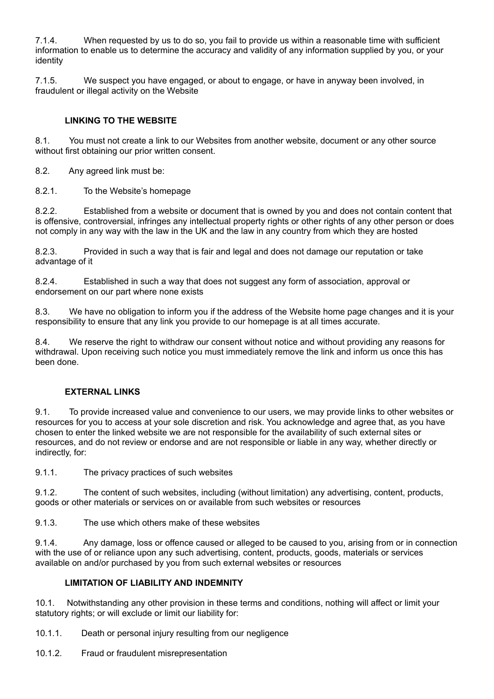7.1.4. When requested by us to do so, you fail to provide us within a reasonable time with sufficient information to enable us to determine the accuracy and validity of any information supplied by you, or your identity

7.1.5. We suspect you have engaged, or about to engage, or have in anyway been involved, in fraudulent or illegal activity on the Website

# **LINKING TO THE WEBSITE**

8.1. You must not create a link to our Websites from another website, document or any other source without first obtaining our prior written consent.

8.2. Any agreed link must be:

8.2.1. To the Website's homepage

8.2.2. Established from a website or document that is owned by you and does not contain content that is offensive, controversial, infringes any intellectual property rights or other rights of any other person or does not comply in any way with the law in the UK and the law in any country from which they are hosted

8.2.3. Provided in such a way that is fair and legal and does not damage our reputation or take advantage of it

8.2.4. Established in such a way that does not suggest any form of association, approval or endorsement on our part where none exists

8.3. We have no obligation to inform you if the address of the Website home page changes and it is your responsibility to ensure that any link you provide to our homepage is at all times accurate.

8.4. We reserve the right to withdraw our consent without notice and without providing any reasons for withdrawal. Upon receiving such notice you must immediately remove the link and inform us once this has been done.

## **EXTERNAL LINKS**

9.1. To provide increased value and convenience to our users, we may provide links to other websites or resources for you to access at your sole discretion and risk. You acknowledge and agree that, as you have chosen to enter the linked website we are not responsible for the availability of such external sites or resources, and do not review or endorse and are not responsible or liable in any way, whether directly or indirectly, for:

9.1.1. The privacy practices of such websites

9.1.2. The content of such websites, including (without limitation) any advertising, content, products, goods or other materials or services on or available from such websites or resources

9.1.3. The use which others make of these websites

9.1.4. Any damage, loss or offence caused or alleged to be caused to you, arising from or in connection with the use of or reliance upon any such advertising, content, products, goods, materials or services available on and/or purchased by you from such external websites or resources

## **LIMITATION OF LIABILITY AND INDEMNITY**

10.1. Notwithstanding any other provision in these terms and conditions, nothing will affect or limit your statutory rights; or will exclude or limit our liability for:

10.1.1. Death or personal injury resulting from our negligence

10.1.2. Fraud or fraudulent misrepresentation